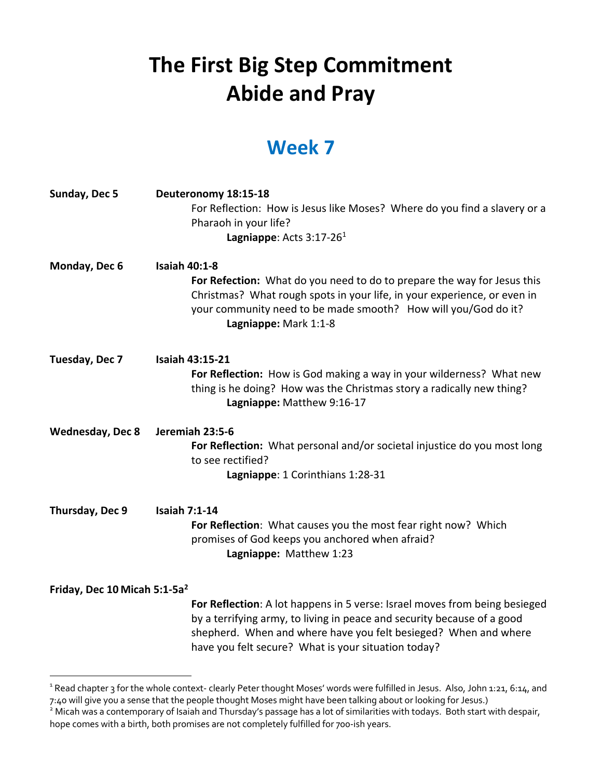## **The First Big Step Commitment Abide and Pray**

## **Week 7**

| Sunday, Dec 5                            | Deuteronomy 18:15-18<br>For Reflection: How is Jesus like Moses? Where do you find a slavery or a<br>Pharaoh in your life?<br>Lagniappe: Acts 3:17-26 <sup>1</sup>                                                                                                              |
|------------------------------------------|---------------------------------------------------------------------------------------------------------------------------------------------------------------------------------------------------------------------------------------------------------------------------------|
| Monday, Dec 6                            | <b>Isaiah 40:1-8</b><br>For Refection: What do you need to do to prepare the way for Jesus this<br>Christmas? What rough spots in your life, in your experience, or even in<br>your community need to be made smooth? How will you/God do it?<br>Lagniappe: Mark 1:1-8          |
| Tuesday, Dec 7                           | <b>Isaiah 43:15-21</b><br>For Reflection: How is God making a way in your wilderness? What new<br>thing is he doing? How was the Christmas story a radically new thing?<br>Lagniappe: Matthew 9:16-17                                                                           |
| <b>Wednesday, Dec 8</b>                  | Jeremiah 23:5-6<br>For Reflection: What personal and/or societal injustice do you most long<br>to see rectified?<br>Lagniappe: 1 Corinthians 1:28-31                                                                                                                            |
| Thursday, Dec 9                          | <b>Isaiah 7:1-14</b><br>For Reflection: What causes you the most fear right now? Which<br>promises of God keeps you anchored when afraid?<br>Lagniappe: Matthew 1:23                                                                                                            |
| Friday, Dec 10 Micah 5:1-5a <sup>2</sup> | For Reflection: A lot happens in 5 verse: Israel moves from being besieged<br>by a terrifying army, to living in peace and security because of a good<br>shepherd. When and where have you felt besieged? When and where<br>have you felt secure? What is your situation today? |

<sup>&</sup>lt;sup>1</sup> Read chapter 3 for the whole context- clearly Peter thought Moses' words were fulfilled in Jesus. Also, John 1:21, 6:14, and 7:40 will give you a sense that the people thought Moses might have been talking about or looking for Jesus.)

<sup>&</sup>lt;sup>2</sup> Micah was a contemporary of Isaiah and Thursday's passage has a lot of similarities with todays. Both start with despair, hope comes with a birth, both promises are not completely fulfilled for 700-ish years.